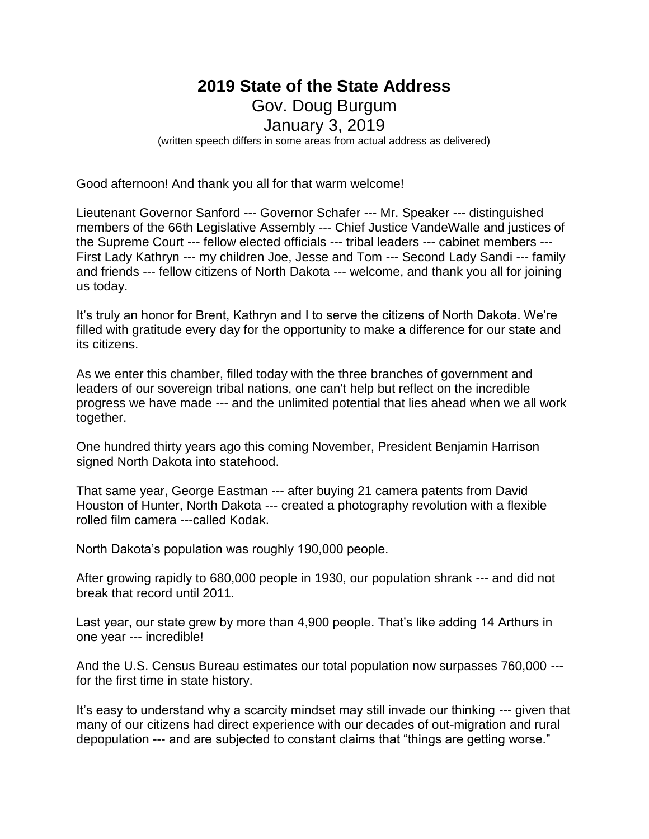# **2019 State of the State Address** Gov. Doug Burgum January 3, 2019 (written speech differs in some areas from actual address as delivered)

Good afternoon! And thank you all for that warm welcome!

Lieutenant Governor Sanford --- Governor Schafer --- Mr. Speaker --- distinguished members of the 66th Legislative Assembly --- Chief Justice VandeWalle and justices of the Supreme Court --- fellow elected officials --- tribal leaders --- cabinet members --- First Lady Kathryn --- my children Joe, Jesse and Tom --- Second Lady Sandi --- family and friends --- fellow citizens of North Dakota --- welcome, and thank you all for joining us today.

It's truly an honor for Brent, Kathryn and I to serve the citizens of North Dakota. We're filled with gratitude every day for the opportunity to make a difference for our state and its citizens.

As we enter this chamber, filled today with the three branches of government and leaders of our sovereign tribal nations, one can't help but reflect on the incredible progress we have made --- and the unlimited potential that lies ahead when we all work together.

One hundred thirty years ago this coming November, President Benjamin Harrison signed North Dakota into statehood.

That same year, George Eastman --- after buying 21 camera patents from David Houston of Hunter, North Dakota --- created a photography revolution with a flexible rolled film camera ---called Kodak.

North Dakota's population was roughly 190,000 people.

After growing rapidly to 680,000 people in 1930, our population shrank --- and did not break that record until 2011.

Last year, our state grew by more than 4,900 people. That's like adding 14 Arthurs in one year --- incredible!

And the U.S. Census Bureau estimates our total population now surpasses 760,000 -- for the first time in state history.

It's easy to understand why a scarcity mindset may still invade our thinking --- given that many of our citizens had direct experience with our decades of out-migration and rural depopulation --- and are subjected to constant claims that "things are getting worse."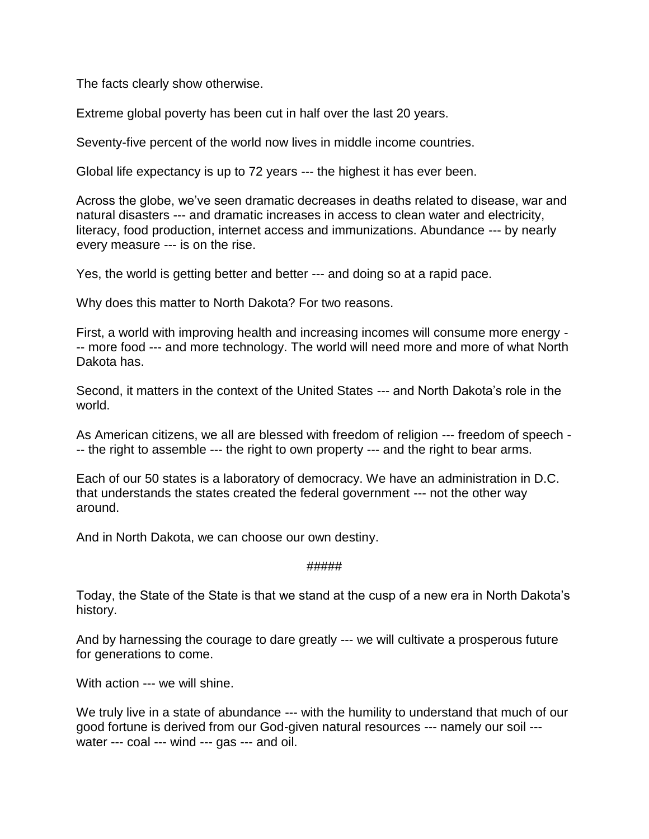The facts clearly show otherwise.

Extreme global poverty has been cut in half over the last 20 years.

Seventy-five percent of the world now lives in middle income countries.

Global life expectancy is up to 72 years --- the highest it has ever been.

Across the globe, we've seen dramatic decreases in deaths related to disease, war and natural disasters --- and dramatic increases in access to clean water and electricity, literacy, food production, internet access and immunizations. Abundance --- by nearly every measure --- is on the rise.

Yes, the world is getting better and better --- and doing so at a rapid pace.

Why does this matter to North Dakota? For two reasons.

First, a world with improving health and increasing incomes will consume more energy - -- more food --- and more technology. The world will need more and more of what North Dakota has.

Second, it matters in the context of the United States --- and North Dakota's role in the world.

As American citizens, we all are blessed with freedom of religion --- freedom of speech - -- the right to assemble --- the right to own property --- and the right to bear arms.

Each of our 50 states is a laboratory of democracy. We have an administration in D.C. that understands the states created the federal government --- not the other way around.

And in North Dakota, we can choose our own destiny.

# #####

Today, the State of the State is that we stand at the cusp of a new era in North Dakota's history.

And by harnessing the courage to dare greatly --- we will cultivate a prosperous future for generations to come.

With action --- we will shine.

We truly live in a state of abundance --- with the humility to understand that much of our good fortune is derived from our God-given natural resources --- namely our soil -- water --- coal --- wind --- gas --- and oil.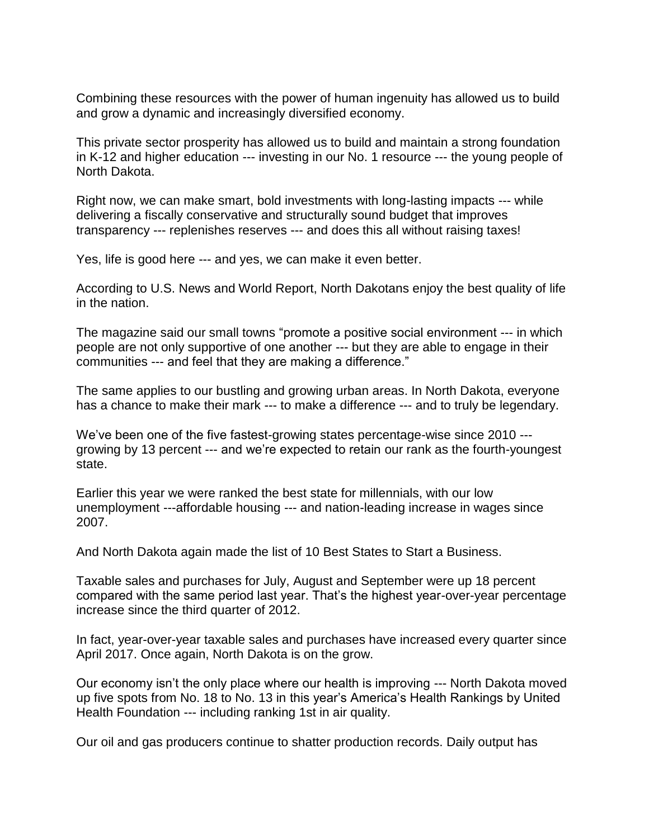Combining these resources with the power of human ingenuity has allowed us to build and grow a dynamic and increasingly diversified economy.

This private sector prosperity has allowed us to build and maintain a strong foundation in K-12 and higher education --- investing in our No. 1 resource --- the young people of North Dakota.

Right now, we can make smart, bold investments with long-lasting impacts --- while delivering a fiscally conservative and structurally sound budget that improves transparency --- replenishes reserves --- and does this all without raising taxes!

Yes, life is good here --- and yes, we can make it even better.

According to U.S. News and World Report, North Dakotans enjoy the best quality of life in the nation.

The magazine said our small towns "promote a positive social environment --- in which people are not only supportive of one another --- but they are able to engage in their communities --- and feel that they are making a difference."

The same applies to our bustling and growing urban areas. In North Dakota, everyone has a chance to make their mark --- to make a difference --- and to truly be legendary.

We've been one of the five fastest-growing states percentage-wise since 2010 -- growing by 13 percent --- and we're expected to retain our rank as the fourth-youngest state.

Earlier this year we were ranked the best state for millennials, with our low unemployment ---affordable housing --- and nation-leading increase in wages since 2007.

And North Dakota again made the list of 10 Best States to Start a Business.

Taxable sales and purchases for July, August and September were up 18 percent compared with the same period last year. That's the highest year-over-year percentage increase since the third quarter of 2012.

In fact, year-over-year taxable sales and purchases have increased every quarter since April 2017. Once again, North Dakota is on the grow.

Our economy isn't the only place where our health is improving --- North Dakota moved up five spots from No. 18 to No. 13 in this year's America's Health Rankings by United Health Foundation --- including ranking 1st in air quality.

Our oil and gas producers continue to shatter production records. Daily output has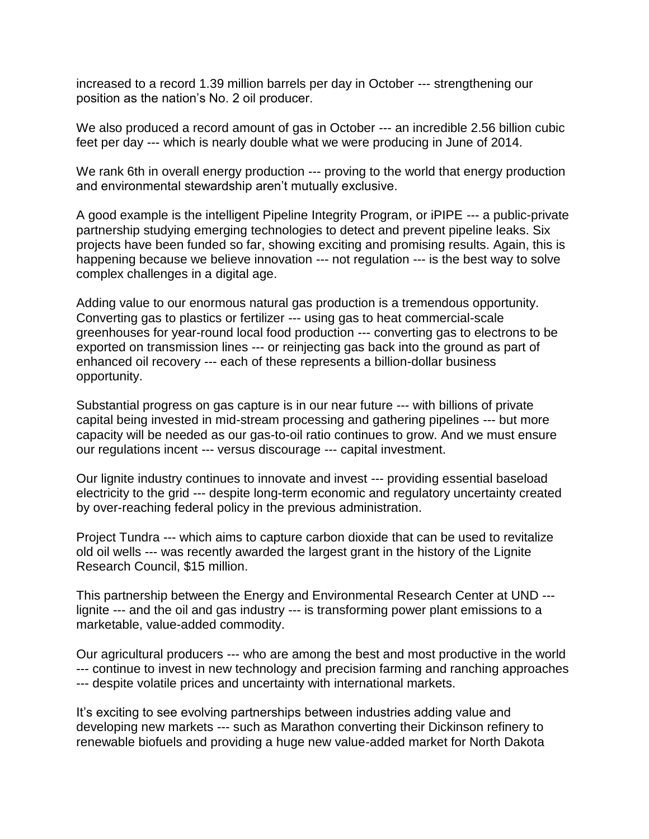increased to a record 1.39 million barrels per day in October --- strengthening our position as the nation's No. 2 oil producer.

We also produced a record amount of gas in October --- an incredible 2.56 billion cubic feet per day --- which is nearly double what we were producing in June of 2014.

We rank 6th in overall energy production --- proving to the world that energy production and environmental stewardship aren't mutually exclusive.

A good example is the intelligent Pipeline Integrity Program, or iPIPE --- a public-private partnership studying emerging technologies to detect and prevent pipeline leaks. Six projects have been funded so far, showing exciting and promising results. Again, this is happening because we believe innovation --- not regulation --- is the best way to solve complex challenges in a digital age.

Adding value to our enormous natural gas production is a tremendous opportunity. Converting gas to plastics or fertilizer --- using gas to heat commercial-scale greenhouses for year-round local food production --- converting gas to electrons to be exported on transmission lines --- or reinjecting gas back into the ground as part of enhanced oil recovery --- each of these represents a billion-dollar business opportunity.

Substantial progress on gas capture is in our near future --- with billions of private capital being invested in mid-stream processing and gathering pipelines --- but more capacity will be needed as our gas-to-oil ratio continues to grow. And we must ensure our regulations incent --- versus discourage --- capital investment.

Our lignite industry continues to innovate and invest --- providing essential baseload electricity to the grid --- despite long-term economic and regulatory uncertainty created by over-reaching federal policy in the previous administration.

Project Tundra --- which aims to capture carbon dioxide that can be used to revitalize old oil wells --- was recently awarded the largest grant in the history of the Lignite Research Council, \$15 million.

This partnership between the Energy and Environmental Research Center at UND -- lignite --- and the oil and gas industry --- is transforming power plant emissions to a marketable, value-added commodity.

Our agricultural producers --- who are among the best and most productive in the world --- continue to invest in new technology and precision farming and ranching approaches --- despite volatile prices and uncertainty with international markets.

It's exciting to see evolving partnerships between industries adding value and developing new markets --- such as Marathon converting their Dickinson refinery to renewable biofuels and providing a huge new value-added market for North Dakota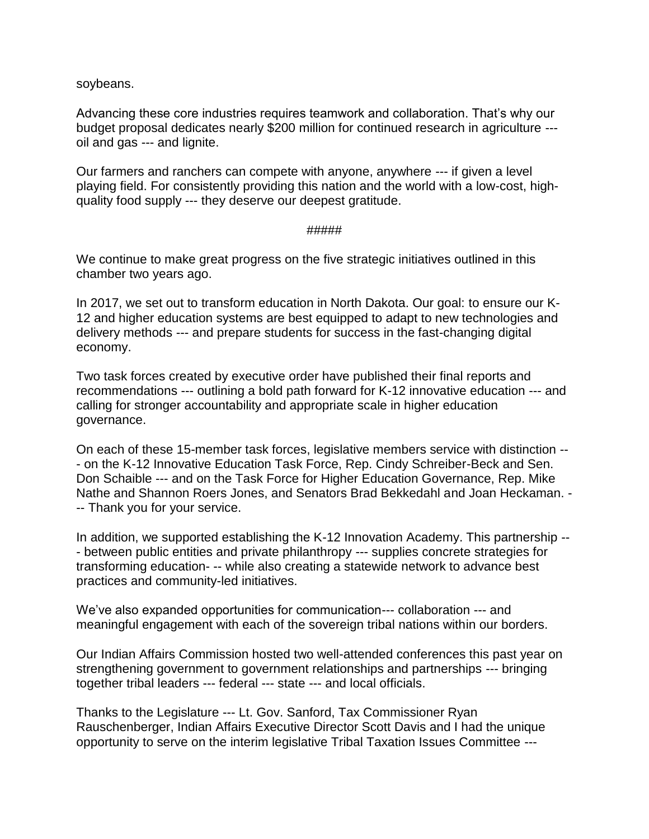soybeans.

Advancing these core industries requires teamwork and collaboration. That's why our budget proposal dedicates nearly \$200 million for continued research in agriculture -- oil and gas --- and lignite.

Our farmers and ranchers can compete with anyone, anywhere --- if given a level playing field. For consistently providing this nation and the world with a low-cost, highquality food supply --- they deserve our deepest gratitude.

## #####

We continue to make great progress on the five strategic initiatives outlined in this chamber two years ago.

In 2017, we set out to transform education in North Dakota. Our goal: to ensure our K-12 and higher education systems are best equipped to adapt to new technologies and delivery methods --- and prepare students for success in the fast-changing digital economy.

Two task forces created by executive order have published their final reports and recommendations --- outlining a bold path forward for K-12 innovative education --- and calling for stronger accountability and appropriate scale in higher education governance.

On each of these 15-member task forces, legislative members service with distinction -- - on the K-12 Innovative Education Task Force, Rep. Cindy Schreiber-Beck and Sen. Don Schaible --- and on the Task Force for Higher Education Governance, Rep. Mike Nathe and Shannon Roers Jones, and Senators Brad Bekkedahl and Joan Heckaman. - -- Thank you for your service.

In addition, we supported establishing the K-12 Innovation Academy. This partnership -- - between public entities and private philanthropy --- supplies concrete strategies for transforming education- -- while also creating a statewide network to advance best practices and community-led initiatives.

We've also expanded opportunities for communication--- collaboration --- and meaningful engagement with each of the sovereign tribal nations within our borders.

Our Indian Affairs Commission hosted two well-attended conferences this past year on strengthening government to government relationships and partnerships --- bringing together tribal leaders --- federal --- state --- and local officials.

Thanks to the Legislature --- Lt. Gov. Sanford, Tax Commissioner Ryan Rauschenberger, Indian Affairs Executive Director Scott Davis and I had the unique opportunity to serve on the interim legislative Tribal Taxation Issues Committee ---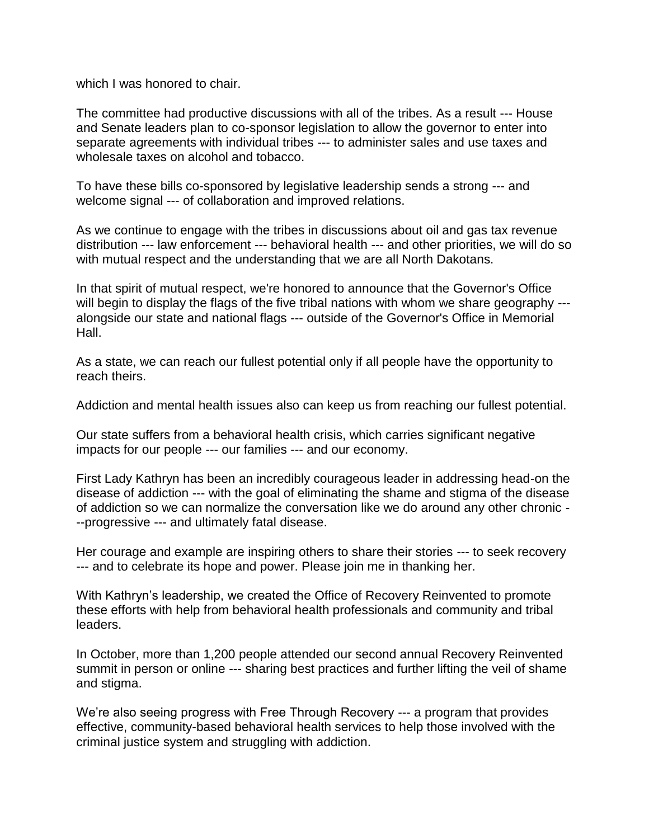which I was honored to chair.

The committee had productive discussions with all of the tribes. As a result --- House and Senate leaders plan to co-sponsor legislation to allow the governor to enter into separate agreements with individual tribes --- to administer sales and use taxes and wholesale taxes on alcohol and tobacco.

To have these bills co-sponsored by legislative leadership sends a strong --- and welcome signal --- of collaboration and improved relations.

As we continue to engage with the tribes in discussions about oil and gas tax revenue distribution --- law enforcement --- behavioral health --- and other priorities, we will do so with mutual respect and the understanding that we are all North Dakotans.

In that spirit of mutual respect, we're honored to announce that the Governor's Office will begin to display the flags of the five tribal nations with whom we share geography --alongside our state and national flags --- outside of the Governor's Office in Memorial Hall.

As a state, we can reach our fullest potential only if all people have the opportunity to reach theirs.

Addiction and mental health issues also can keep us from reaching our fullest potential.

Our state suffers from a behavioral health crisis, which carries significant negative impacts for our people --- our families --- and our economy.

First Lady Kathryn has been an incredibly courageous leader in addressing head-on the disease of addiction --- with the goal of eliminating the shame and stigma of the disease of addiction so we can normalize the conversation like we do around any other chronic - --progressive --- and ultimately fatal disease.

Her courage and example are inspiring others to share their stories --- to seek recovery --- and to celebrate its hope and power. Please join me in thanking her.

With Kathryn's leadership, we created the Office of Recovery Reinvented to promote these efforts with help from behavioral health professionals and community and tribal leaders.

In October, more than 1,200 people attended our second annual Recovery Reinvented summit in person or online --- sharing best practices and further lifting the veil of shame and stigma.

We're also seeing progress with Free Through Recovery --- a program that provides effective, community-based behavioral health services to help those involved with the criminal justice system and struggling with addiction.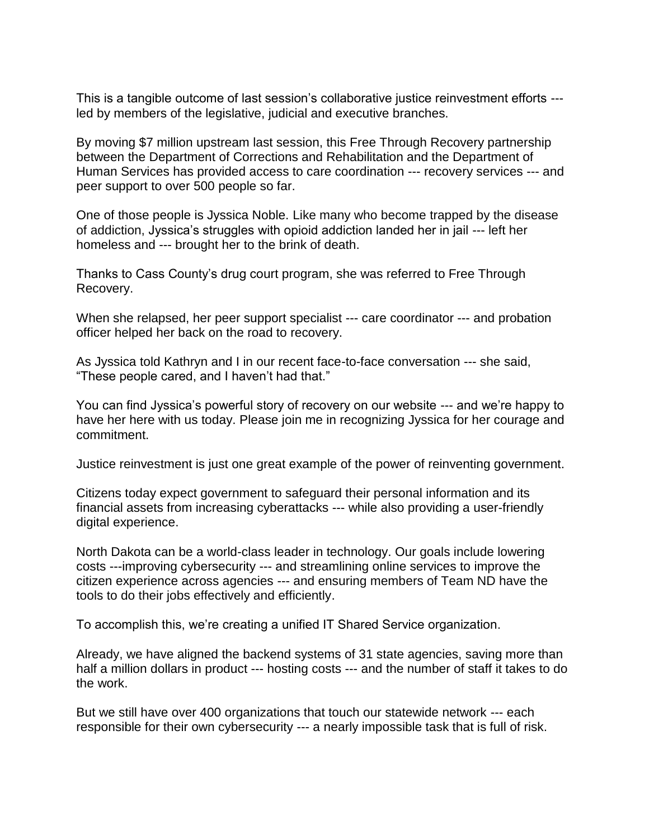This is a tangible outcome of last session's collaborative justice reinvestment efforts -- led by members of the legislative, judicial and executive branches.

By moving \$7 million upstream last session, this Free Through Recovery partnership between the Department of Corrections and Rehabilitation and the Department of Human Services has provided access to care coordination --- recovery services --- and peer support to over 500 people so far.

One of those people is Jyssica Noble. Like many who become trapped by the disease of addiction, Jyssica's struggles with opioid addiction landed her in jail --- left her homeless and --- brought her to the brink of death.

Thanks to Cass County's drug court program, she was referred to Free Through Recovery.

When she relapsed, her peer support specialist --- care coordinator --- and probation officer helped her back on the road to recovery.

As Jyssica told Kathryn and I in our recent face-to-face conversation --- she said, "These people cared, and I haven't had that."

You can find Jyssica's powerful story of recovery on our website --- and we're happy to have her here with us today. Please join me in recognizing Jyssica for her courage and commitment.

Justice reinvestment is just one great example of the power of reinventing government.

Citizens today expect government to safeguard their personal information and its financial assets from increasing cyberattacks --- while also providing a user-friendly digital experience.

North Dakota can be a world-class leader in technology. Our goals include lowering costs ---improving cybersecurity --- and streamlining online services to improve the citizen experience across agencies --- and ensuring members of Team ND have the tools to do their jobs effectively and efficiently.

To accomplish this, we're creating a unified IT Shared Service organization.

Already, we have aligned the backend systems of 31 state agencies, saving more than half a million dollars in product --- hosting costs --- and the number of staff it takes to do the work.

But we still have over 400 organizations that touch our statewide network --- each responsible for their own cybersecurity --- a nearly impossible task that is full of risk.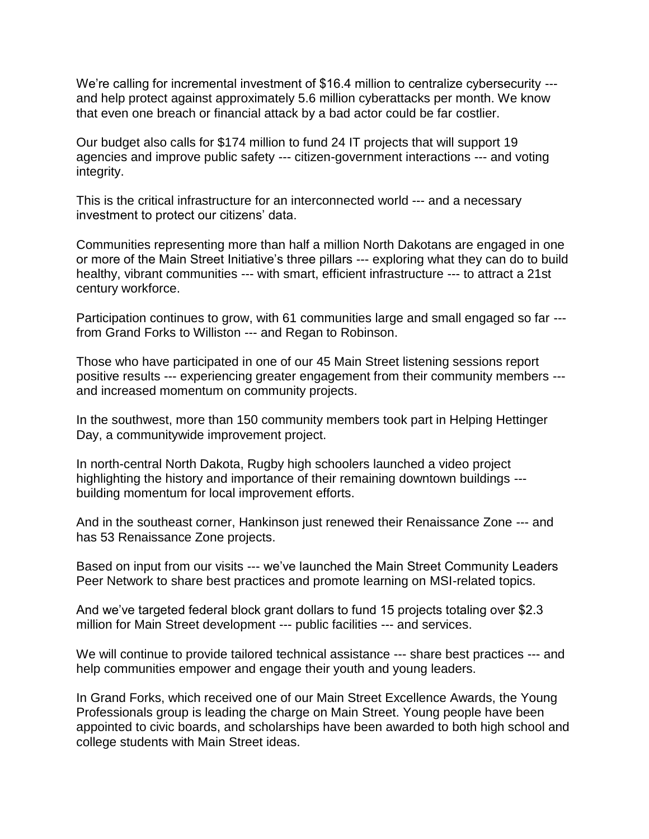We're calling for incremental investment of \$16.4 million to centralize cybersecurity -- and help protect against approximately 5.6 million cyberattacks per month. We know that even one breach or financial attack by a bad actor could be far costlier.

Our budget also calls for \$174 million to fund 24 IT projects that will support 19 agencies and improve public safety --- citizen-government interactions --- and voting integrity.

This is the critical infrastructure for an interconnected world --- and a necessary investment to protect our citizens' data.

Communities representing more than half a million North Dakotans are engaged in one or more of the Main Street Initiative's three pillars --- exploring what they can do to build healthy, vibrant communities --- with smart, efficient infrastructure --- to attract a 21st century workforce.

Participation continues to grow, with 61 communities large and small engaged so far -- from Grand Forks to Williston --- and Regan to Robinson.

Those who have participated in one of our 45 Main Street listening sessions report positive results --- experiencing greater engagement from their community members -- and increased momentum on community projects.

In the southwest, more than 150 community members took part in Helping Hettinger Day, a communitywide improvement project.

In north-central North Dakota, Rugby high schoolers launched a video project highlighting the history and importance of their remaining downtown buildings -- building momentum for local improvement efforts.

And in the southeast corner, Hankinson just renewed their Renaissance Zone --- and has 53 Renaissance Zone projects.

Based on input from our visits --- we've launched the Main Street Community Leaders Peer Network to share best practices and promote learning on MSI-related topics.

And we've targeted federal block grant dollars to fund 15 projects totaling over \$2.3 million for Main Street development --- public facilities --- and services.

We will continue to provide tailored technical assistance --- share best practices --- and help communities empower and engage their youth and young leaders.

In Grand Forks, which received one of our Main Street Excellence Awards, the Young Professionals group is leading the charge on Main Street. Young people have been appointed to civic boards, and scholarships have been awarded to both high school and college students with Main Street ideas.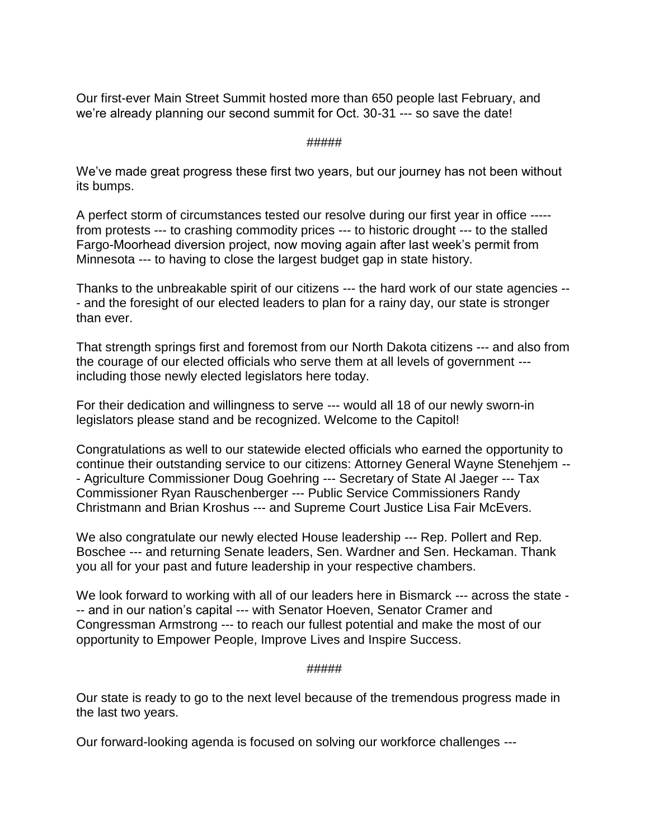Our first-ever Main Street Summit hosted more than 650 people last February, and we're already planning our second summit for Oct. 30-31 --- so save the date!

## #####

We've made great progress these first two years, but our journey has not been without its bumps.

A perfect storm of circumstances tested our resolve during our first year in office ---- from protests --- to crashing commodity prices --- to historic drought --- to the stalled Fargo-Moorhead diversion project, now moving again after last week's permit from Minnesota --- to having to close the largest budget gap in state history.

Thanks to the unbreakable spirit of our citizens --- the hard work of our state agencies -- - and the foresight of our elected leaders to plan for a rainy day, our state is stronger than ever.

That strength springs first and foremost from our North Dakota citizens --- and also from the courage of our elected officials who serve them at all levels of government -- including those newly elected legislators here today.

For their dedication and willingness to serve --- would all 18 of our newly sworn-in legislators please stand and be recognized. Welcome to the Capitol!

Congratulations as well to our statewide elected officials who earned the opportunity to continue their outstanding service to our citizens: Attorney General Wayne Stenehjem -- - Agriculture Commissioner Doug Goehring --- Secretary of State Al Jaeger --- Tax Commissioner Ryan Rauschenberger --- Public Service Commissioners Randy Christmann and Brian Kroshus --- and Supreme Court Justice Lisa Fair McEvers.

We also congratulate our newly elected House leadership --- Rep. Pollert and Rep. Boschee --- and returning Senate leaders, Sen. Wardner and Sen. Heckaman. Thank you all for your past and future leadership in your respective chambers.

We look forward to working with all of our leaders here in Bismarck --- across the state - -- and in our nation's capital --- with Senator Hoeven, Senator Cramer and Congressman Armstrong --- to reach our fullest potential and make the most of our opportunity to Empower People, Improve Lives and Inspire Success.

# #####

Our state is ready to go to the next level because of the tremendous progress made in the last two years.

Our forward-looking agenda is focused on solving our workforce challenges ---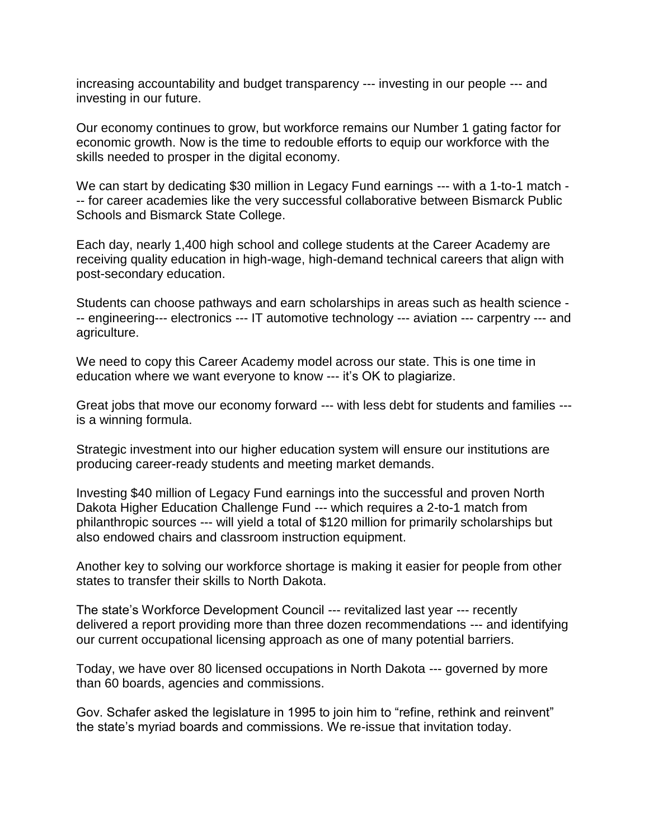increasing accountability and budget transparency --- investing in our people --- and investing in our future.

Our economy continues to grow, but workforce remains our Number 1 gating factor for economic growth. Now is the time to redouble efforts to equip our workforce with the skills needed to prosper in the digital economy.

We can start by dedicating \$30 million in Legacy Fund earnings --- with a 1-to-1 match --- for career academies like the very successful collaborative between Bismarck Public Schools and Bismarck State College.

Each day, nearly 1,400 high school and college students at the Career Academy are receiving quality education in high-wage, high-demand technical careers that align with post-secondary education.

Students can choose pathways and earn scholarships in areas such as health science - -- engineering--- electronics --- IT automotive technology --- aviation --- carpentry --- and agriculture.

We need to copy this Career Academy model across our state. This is one time in education where we want everyone to know --- it's OK to plagiarize.

Great jobs that move our economy forward --- with less debt for students and families -- is a winning formula.

Strategic investment into our higher education system will ensure our institutions are producing career-ready students and meeting market demands.

Investing \$40 million of Legacy Fund earnings into the successful and proven North Dakota Higher Education Challenge Fund --- which requires a 2-to-1 match from philanthropic sources --- will yield a total of \$120 million for primarily scholarships but also endowed chairs and classroom instruction equipment.

Another key to solving our workforce shortage is making it easier for people from other states to transfer their skills to North Dakota.

The state's Workforce Development Council --- revitalized last year --- recently delivered a report providing more than three dozen recommendations --- and identifying our current occupational licensing approach as one of many potential barriers.

Today, we have over 80 licensed occupations in North Dakota --- governed by more than 60 boards, agencies and commissions.

Gov. Schafer asked the legislature in 1995 to join him to "refine, rethink and reinvent" the state's myriad boards and commissions. We re-issue that invitation today.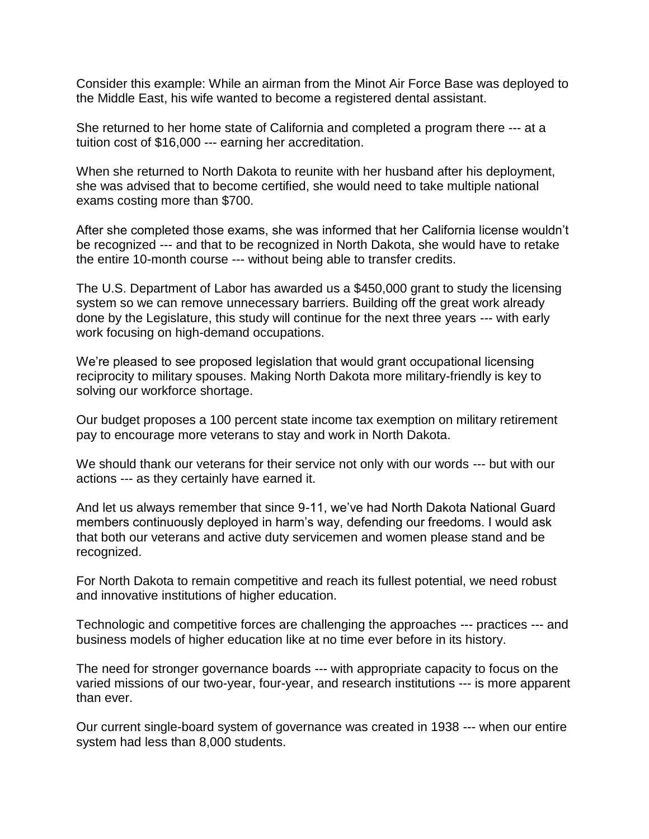Consider this example: While an airman from the Minot Air Force Base was deployed to the Middle East, his wife wanted to become a registered dental assistant.

She returned to her home state of California and completed a program there --- at a tuition cost of \$16,000 --- earning her accreditation.

When she returned to North Dakota to reunite with her husband after his deployment, she was advised that to become certified, she would need to take multiple national exams costing more than \$700.

After she completed those exams, she was informed that her California license wouldn't be recognized --- and that to be recognized in North Dakota, she would have to retake the entire 10-month course --- without being able to transfer credits.

The U.S. Department of Labor has awarded us a \$450,000 grant to study the licensing system so we can remove unnecessary barriers. Building off the great work already done by the Legislature, this study will continue for the next three years --- with early work focusing on high-demand occupations.

We're pleased to see proposed legislation that would grant occupational licensing reciprocity to military spouses. Making North Dakota more military-friendly is key to solving our workforce shortage.

Our budget proposes a 100 percent state income tax exemption on military retirement pay to encourage more veterans to stay and work in North Dakota.

We should thank our veterans for their service not only with our words --- but with our actions --- as they certainly have earned it.

And let us always remember that since 9-11, we've had North Dakota National Guard members continuously deployed in harm's way, defending our freedoms. I would ask that both our veterans and active duty servicemen and women please stand and be recognized.

For North Dakota to remain competitive and reach its fullest potential, we need robust and innovative institutions of higher education.

Technologic and competitive forces are challenging the approaches --- practices --- and business models of higher education like at no time ever before in its history.

The need for stronger governance boards --- with appropriate capacity to focus on the varied missions of our two-year, four-year, and research institutions --- is more apparent than ever.

Our current single-board system of governance was created in 1938 --- when our entire system had less than 8,000 students.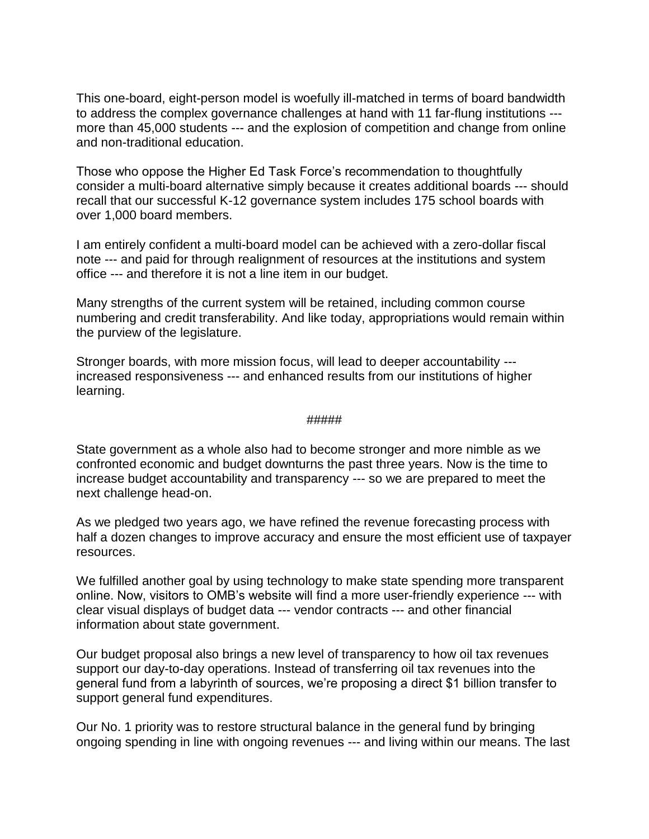This one-board, eight-person model is woefully ill-matched in terms of board bandwidth to address the complex governance challenges at hand with 11 far-flung institutions -- more than 45,000 students --- and the explosion of competition and change from online and non-traditional education.

Those who oppose the Higher Ed Task Force's recommendation to thoughtfully consider a multi-board alternative simply because it creates additional boards --- should recall that our successful K-12 governance system includes 175 school boards with over 1,000 board members.

I am entirely confident a multi-board model can be achieved with a zero-dollar fiscal note --- and paid for through realignment of resources at the institutions and system office --- and therefore it is not a line item in our budget.

Many strengths of the current system will be retained, including common course numbering and credit transferability. And like today, appropriations would remain within the purview of the legislature.

Stronger boards, with more mission focus, will lead to deeper accountability -- increased responsiveness --- and enhanced results from our institutions of higher learning.

#### #####

State government as a whole also had to become stronger and more nimble as we confronted economic and budget downturns the past three years. Now is the time to increase budget accountability and transparency --- so we are prepared to meet the next challenge head-on.

As we pledged two years ago, we have refined the revenue forecasting process with half a dozen changes to improve accuracy and ensure the most efficient use of taxpayer resources.

We fulfilled another goal by using technology to make state spending more transparent online. Now, visitors to OMB's website will find a more user-friendly experience --- with clear visual displays of budget data --- vendor contracts --- and other financial information about state government.

Our budget proposal also brings a new level of transparency to how oil tax revenues support our day-to-day operations. Instead of transferring oil tax revenues into the general fund from a labyrinth of sources, we're proposing a direct \$1 billion transfer to support general fund expenditures.

Our No. 1 priority was to restore structural balance in the general fund by bringing ongoing spending in line with ongoing revenues --- and living within our means. The last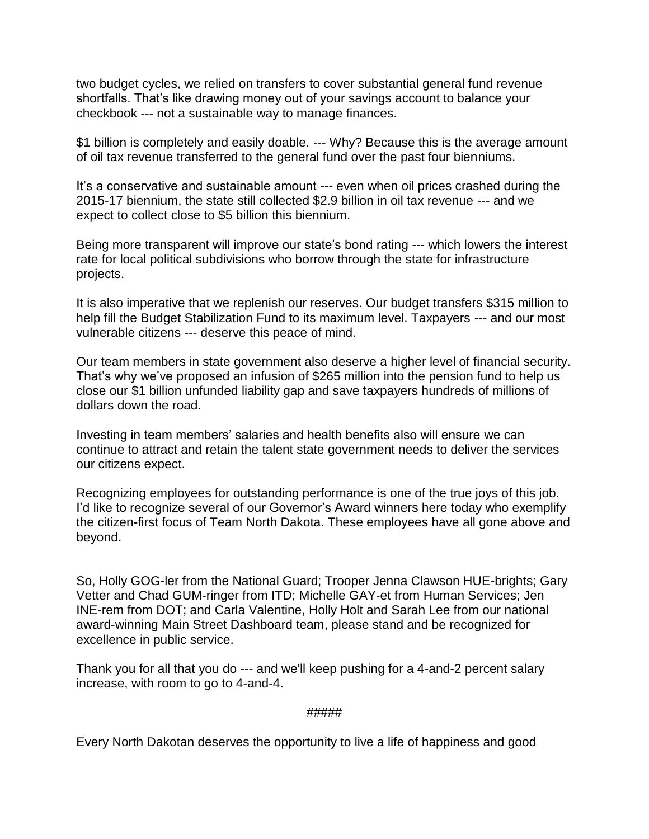two budget cycles, we relied on transfers to cover substantial general fund revenue shortfalls. That's like drawing money out of your savings account to balance your checkbook --- not a sustainable way to manage finances.

\$1 billion is completely and easily doable. --- Why? Because this is the average amount of oil tax revenue transferred to the general fund over the past four bienniums.

It's a conservative and sustainable amount --- even when oil prices crashed during the 2015-17 biennium, the state still collected \$2.9 billion in oil tax revenue --- and we expect to collect close to \$5 billion this biennium.

Being more transparent will improve our state's bond rating --- which lowers the interest rate for local political subdivisions who borrow through the state for infrastructure projects.

It is also imperative that we replenish our reserves. Our budget transfers \$315 million to help fill the Budget Stabilization Fund to its maximum level. Taxpayers --- and our most vulnerable citizens --- deserve this peace of mind.

Our team members in state government also deserve a higher level of financial security. That's why we've proposed an infusion of \$265 million into the pension fund to help us close our \$1 billion unfunded liability gap and save taxpayers hundreds of millions of dollars down the road.

Investing in team members' salaries and health benefits also will ensure we can continue to attract and retain the talent state government needs to deliver the services our citizens expect.

Recognizing employees for outstanding performance is one of the true joys of this job. I'd like to recognize several of our Governor's Award winners here today who exemplify the citizen-first focus of Team North Dakota. These employees have all gone above and beyond.

So, Holly GOG-ler from the National Guard; Trooper Jenna Clawson HUE-brights; Gary Vetter and Chad GUM-ringer from ITD; Michelle GAY-et from Human Services; Jen INE-rem from DOT; and Carla Valentine, Holly Holt and Sarah Lee from our national award-winning Main Street Dashboard team, please stand and be recognized for excellence in public service.

Thank you for all that you do --- and we'll keep pushing for a 4-and-2 percent salary increase, with room to go to 4-and-4.

#### #####

Every North Dakotan deserves the opportunity to live a life of happiness and good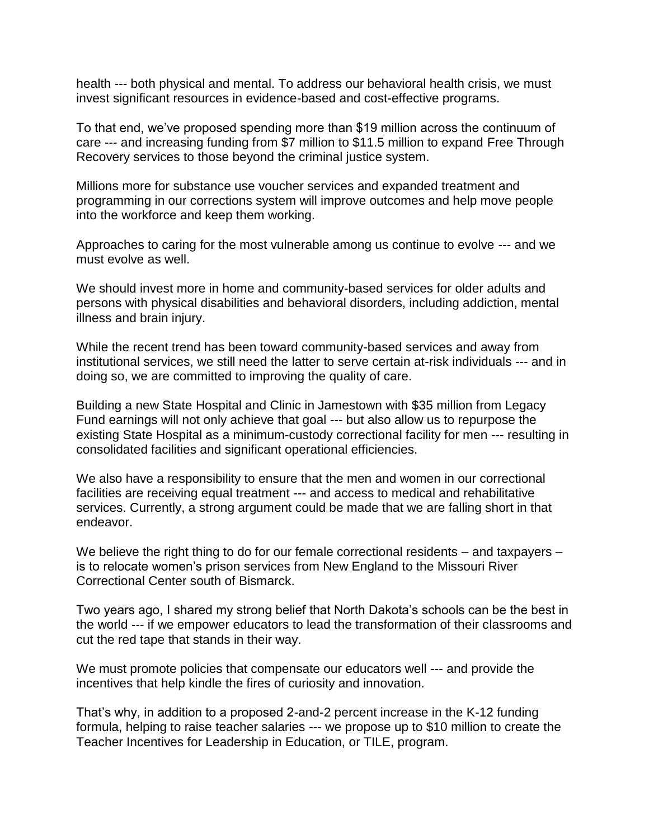health --- both physical and mental. To address our behavioral health crisis, we must invest significant resources in evidence-based and cost-effective programs.

To that end, we've proposed spending more than \$19 million across the continuum of care --- and increasing funding from \$7 million to \$11.5 million to expand Free Through Recovery services to those beyond the criminal justice system.

Millions more for substance use voucher services and expanded treatment and programming in our corrections system will improve outcomes and help move people into the workforce and keep them working.

Approaches to caring for the most vulnerable among us continue to evolve --- and we must evolve as well.

We should invest more in home and community-based services for older adults and persons with physical disabilities and behavioral disorders, including addiction, mental illness and brain injury.

While the recent trend has been toward community-based services and away from institutional services, we still need the latter to serve certain at-risk individuals --- and in doing so, we are committed to improving the quality of care.

Building a new State Hospital and Clinic in Jamestown with \$35 million from Legacy Fund earnings will not only achieve that goal --- but also allow us to repurpose the existing State Hospital as a minimum-custody correctional facility for men --- resulting in consolidated facilities and significant operational efficiencies.

We also have a responsibility to ensure that the men and women in our correctional facilities are receiving equal treatment --- and access to medical and rehabilitative services. Currently, a strong argument could be made that we are falling short in that endeavor.

We believe the right thing to do for our female correctional residents – and taxpayers – is to relocate women's prison services from New England to the Missouri River Correctional Center south of Bismarck.

Two years ago, I shared my strong belief that North Dakota's schools can be the best in the world --- if we empower educators to lead the transformation of their classrooms and cut the red tape that stands in their way.

We must promote policies that compensate our educators well --- and provide the incentives that help kindle the fires of curiosity and innovation.

That's why, in addition to a proposed 2-and-2 percent increase in the K-12 funding formula, helping to raise teacher salaries --- we propose up to \$10 million to create the Teacher Incentives for Leadership in Education, or TILE, program.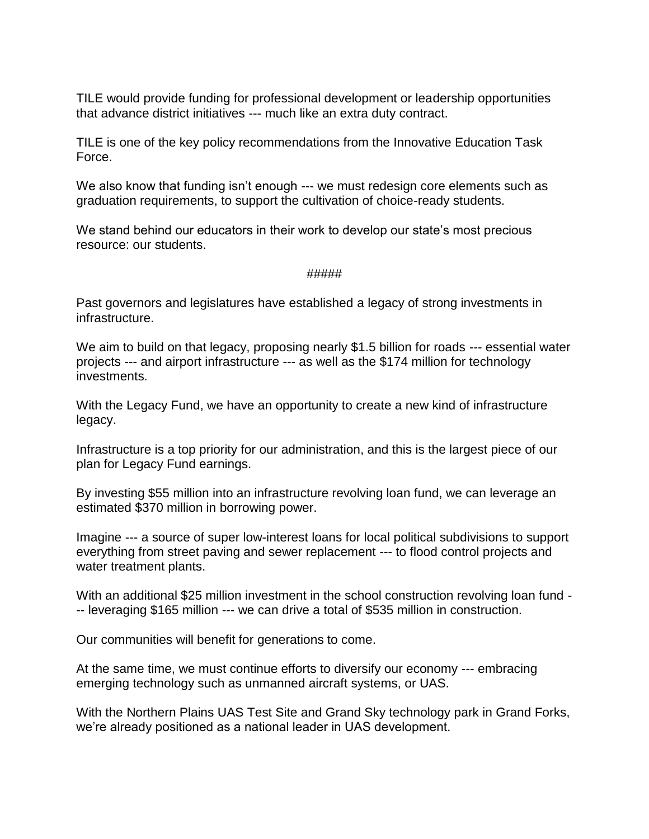TILE would provide funding for professional development or leadership opportunities that advance district initiatives --- much like an extra duty contract.

TILE is one of the key policy recommendations from the Innovative Education Task Force.

We also know that funding isn't enough --- we must redesign core elements such as graduation requirements, to support the cultivation of choice-ready students.

We stand behind our educators in their work to develop our state's most precious resource: our students.

## #####

Past governors and legislatures have established a legacy of strong investments in infrastructure.

We aim to build on that legacy, proposing nearly \$1.5 billion for roads --- essential water projects --- and airport infrastructure --- as well as the \$174 million for technology investments.

With the Legacy Fund, we have an opportunity to create a new kind of infrastructure legacy.

Infrastructure is a top priority for our administration, and this is the largest piece of our plan for Legacy Fund earnings.

By investing \$55 million into an infrastructure revolving loan fund, we can leverage an estimated \$370 million in borrowing power.

Imagine --- a source of super low-interest loans for local political subdivisions to support everything from street paving and sewer replacement --- to flood control projects and water treatment plants.

With an additional \$25 million investment in the school construction revolving loan fund - -- leveraging \$165 million --- we can drive a total of \$535 million in construction.

Our communities will benefit for generations to come.

At the same time, we must continue efforts to diversify our economy --- embracing emerging technology such as unmanned aircraft systems, or UAS.

With the Northern Plains UAS Test Site and Grand Sky technology park in Grand Forks, we're already positioned as a national leader in UAS development.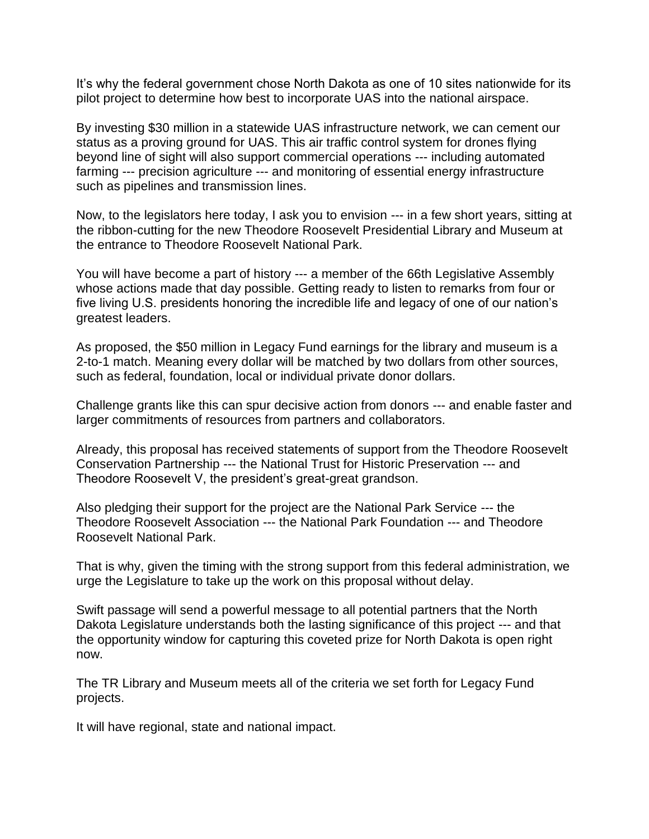It's why the federal government chose North Dakota as one of 10 sites nationwide for its pilot project to determine how best to incorporate UAS into the national airspace.

By investing \$30 million in a statewide UAS infrastructure network, we can cement our status as a proving ground for UAS. This air traffic control system for drones flying beyond line of sight will also support commercial operations --- including automated farming --- precision agriculture --- and monitoring of essential energy infrastructure such as pipelines and transmission lines.

Now, to the legislators here today, I ask you to envision --- in a few short years, sitting at the ribbon-cutting for the new Theodore Roosevelt Presidential Library and Museum at the entrance to Theodore Roosevelt National Park.

You will have become a part of history --- a member of the 66th Legislative Assembly whose actions made that day possible. Getting ready to listen to remarks from four or five living U.S. presidents honoring the incredible life and legacy of one of our nation's greatest leaders.

As proposed, the \$50 million in Legacy Fund earnings for the library and museum is a 2-to-1 match. Meaning every dollar will be matched by two dollars from other sources, such as federal, foundation, local or individual private donor dollars.

Challenge grants like this can spur decisive action from donors --- and enable faster and larger commitments of resources from partners and collaborators.

Already, this proposal has received statements of support from the Theodore Roosevelt Conservation Partnership --- the National Trust for Historic Preservation --- and Theodore Roosevelt V, the president's great-great grandson.

Also pledging their support for the project are the National Park Service --- the Theodore Roosevelt Association --- the National Park Foundation --- and Theodore Roosevelt National Park.

That is why, given the timing with the strong support from this federal administration, we urge the Legislature to take up the work on this proposal without delay.

Swift passage will send a powerful message to all potential partners that the North Dakota Legislature understands both the lasting significance of this project --- and that the opportunity window for capturing this coveted prize for North Dakota is open right now.

The TR Library and Museum meets all of the criteria we set forth for Legacy Fund projects.

It will have regional, state and national impact.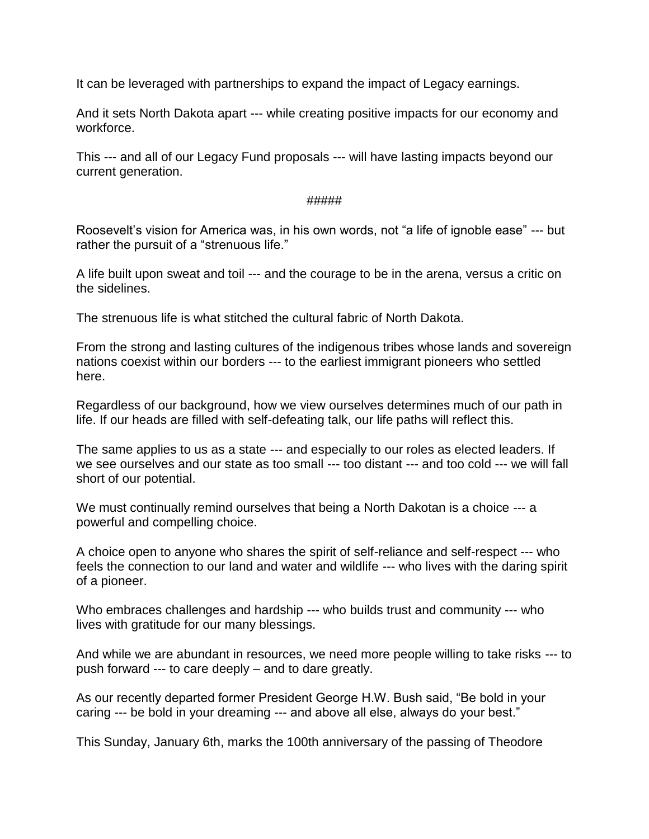It can be leveraged with partnerships to expand the impact of Legacy earnings.

And it sets North Dakota apart --- while creating positive impacts for our economy and workforce.

This --- and all of our Legacy Fund proposals --- will have lasting impacts beyond our current generation.

#### #####

Roosevelt's vision for America was, in his own words, not "a life of ignoble ease" --- but rather the pursuit of a "strenuous life."

A life built upon sweat and toil --- and the courage to be in the arena, versus a critic on the sidelines.

The strenuous life is what stitched the cultural fabric of North Dakota.

From the strong and lasting cultures of the indigenous tribes whose lands and sovereign nations coexist within our borders --- to the earliest immigrant pioneers who settled here.

Regardless of our background, how we view ourselves determines much of our path in life. If our heads are filled with self-defeating talk, our life paths will reflect this.

The same applies to us as a state --- and especially to our roles as elected leaders. If we see ourselves and our state as too small --- too distant --- and too cold --- we will fall short of our potential.

We must continually remind ourselves that being a North Dakotan is a choice --- a powerful and compelling choice.

A choice open to anyone who shares the spirit of self-reliance and self-respect --- who feels the connection to our land and water and wildlife --- who lives with the daring spirit of a pioneer.

Who embraces challenges and hardship --- who builds trust and community --- who lives with gratitude for our many blessings.

And while we are abundant in resources, we need more people willing to take risks --- to push forward --- to care deeply – and to dare greatly.

As our recently departed former President George H.W. Bush said, "Be bold in your caring --- be bold in your dreaming --- and above all else, always do your best."

This Sunday, January 6th, marks the 100th anniversary of the passing of Theodore